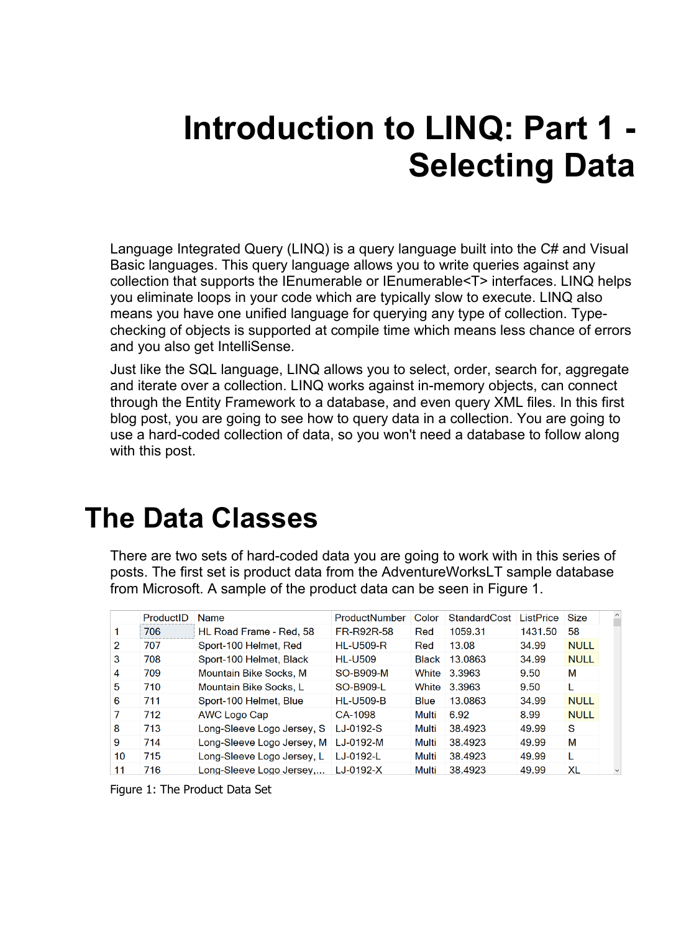# **Introduction to LINQ: Part 1 - Selecting Data**

Language Integrated Query (LINQ) is a query language built into the C# and Visual Basic languages. This query language allows you to write queries against any collection that supports the IEnumerable or IEnumerable<T> interfaces. LINQ helps you eliminate loops in your code which are typically slow to execute. LINQ also means you have one unified language for querying any type of collection. Typechecking of objects is supported at compile time which means less chance of errors and you also get IntelliSense.

Just like the SQL language, LINQ allows you to select, order, search for, aggregate and iterate over a collection. LINQ works against in-memory objects, can connect through the Entity Framework to a database, and even query XML files. In this first blog post, you are going to see how to query data in a collection. You are going to use a hard-coded collection of data, so you won't need a database to follow along with this post.

### **The Data Classes**

There are two sets of hard-coded data you are going to work with in this series of posts. The first set is product data from the AdventureWorksLT sample database from Microsoft. A sample of the product data can be seen in [Figure 1.](#page-0-0)

|    | ProductID | <b>Name</b>                | ProductNumber    | Color        | <b>StandardCost</b> | ListPrice | Size        |
|----|-----------|----------------------------|------------------|--------------|---------------------|-----------|-------------|
|    | 706       | HL Road Frame - Red, 58    | FR-R92R-58       | Red          | 1059.31             | 1431.50   | 58          |
| 2  | 707       | Sport-100 Helmet, Red      | <b>HL-U509-R</b> | Red          | 13.08               | 34.99     | <b>NULL</b> |
| 3  | 708       | Sport-100 Helmet, Black    | <b>HL-U509</b>   | <b>Black</b> | 13.0863             | 34.99     | <b>NULL</b> |
| 4  | 709       | Mountain Bike Socks, M     | SO-B909-M        | White        | 3.3963              | 9.50      | M           |
| 5  | 710       | Mountain Bike Socks, L     | SO-B909-L        | White        | 3.3963              | 9.50      |             |
| 6  | 711       | Sport-100 Helmet, Blue     | <b>HL-U509-B</b> | <b>Blue</b>  | 13.0863             | 34.99     | <b>NULL</b> |
|    | 712       | AWC Logo Cap               | CA-1098          | Multi        | 6.92                | 8.99      | <b>NULL</b> |
| 8  | 713       | Long-Sleeve Logo Jersey, S | LJ-0192-S        | Multi        | 38.4923             | 49.99     | S           |
| 9  | 714       | Long-Sleeve Logo Jersey, M | LJ-0192-M        | Multi        | 38.4923             | 49.99     | M           |
| 10 | 715       | Long-Sleeve Logo Jersey, L | LJ-0192-L        | Multi        | 38.4923             | 49.99     | I.          |
| 11 | 716       | Long-Sleeve Logo Jersey    | LJ-0192-X        | <b>Multi</b> | 38.4923             | 49.99     | XL          |

<span id="page-0-0"></span>Figure 1: The Product Data Set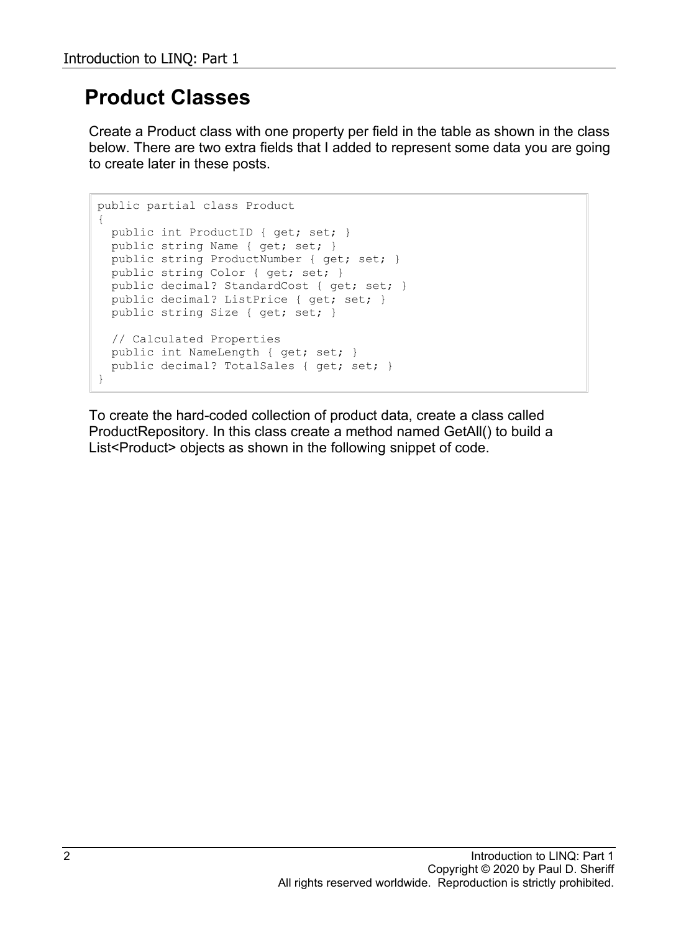#### **Product Classes**

Create a Product class with one property per field in the table as shown in the class below. There are two extra fields that I added to represent some data you are going to create later in these posts.

```
public partial class Product
{
 public int ProductID { get; set; }
  public string Name { get; set; }
  public string ProductNumber { get; set; }
   public string Color { get; set; }
 public decimal? StandardCost { get; set; }
  public decimal? ListPrice { get; set; }
  public string Size { get; set; }
  // Calculated Properties
  public int NameLength { get; set; }
 public decimal? TotalSales { get; set; }
}
```
To create the hard-coded collection of product data, create a class called ProductRepository. In this class create a method named GetAll() to build a List<Product> objects as shown in the following snippet of code.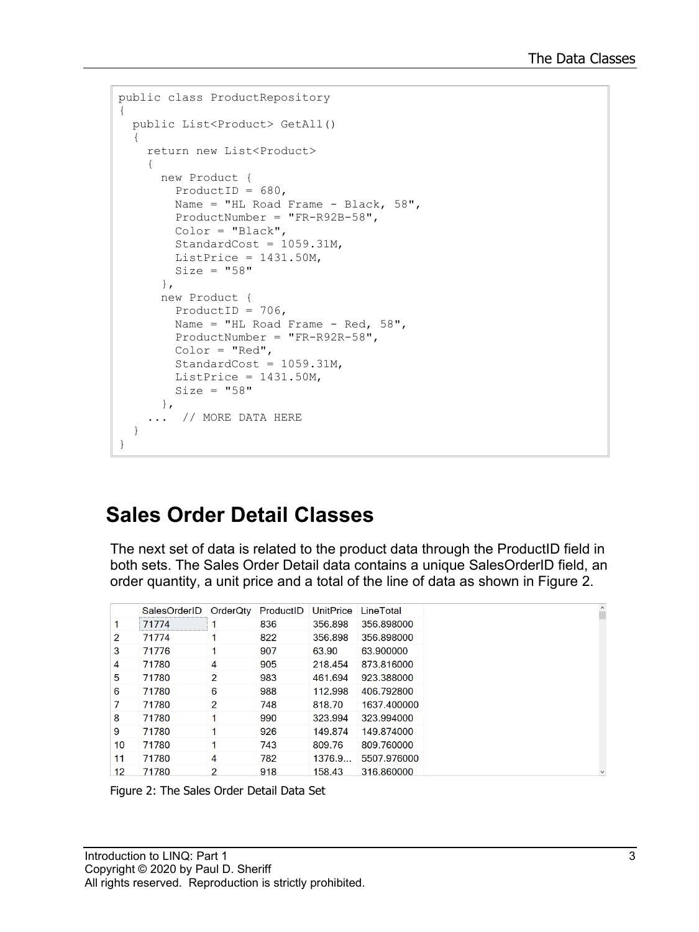```
public class ProductRepository
{
  public List<Product> GetAll()
   {
     return new List<Product>
     {
      new Product {
       ProductID = 680,
       Name = "HL Road Frame - Black, 58",
         ProductNumber = "FR-R92B-58",
         Color = "Black",
         StandardCost = 1059.31M,
        ListPrice = 1431.50M,
       Size = "58" },
       new Product {
        ProductID = 706,
        Name = "HL Road Frame - Red, 58",
         ProductNumber = "FR-R92R-58",
        Color = "Red",StandardCost = 1059.31M,ListPrice = 1431.50M,
         Size = "58"
       },
     ... // MORE DATA HERE
   }
}
```
#### **Sales Order Detail Classes**

The next set of data is related to the product data through the ProductID field in both sets. The Sales Order Detail data contains a unique SalesOrderID field, an order quantity, a unit price and a total of the line of data as shown in [Figure 2.](#page-2-0)

|                  | SalesOrderID | OrderQtv       | ProductID | <b>UnitPrice</b> | LineTotal   |
|------------------|--------------|----------------|-----------|------------------|-------------|
| 1.               | 71774        |                | 836       | 356.898          | 356.898000  |
| $\overline{2}$   | 71774        |                | 822       | 356.898          | 356.898000  |
| 3                | 71776        | 1              | 907       | 63.90            | 63.900000   |
| 4                | 71780        | 4              | 905       | 218.454          | 873.816000  |
| 5                | 71780        | $\overline{2}$ | 983       | 461.694          | 923.388000  |
| 6                | 71780        | 6              | 988       | 112.998          | 406.792800  |
| 7                | 71780        | $\overline{2}$ | 748       | 818.70           | 1637.400000 |
| 8                | 71780        | 1              | 990       | 323.994          | 323.994000  |
| 9                | 71780        | 1              | 926       | 149.874          | 149.874000  |
| 10 <sup>10</sup> | 71780        | 1              | 743       | 809.76           | 809.760000  |
| 11               | 71780        | 4              | 782       | 1376.9           | 5507.976000 |
| 12               | 71780        | $\overline{2}$ | 918       | 158.43           | 316.860000  |

<span id="page-2-0"></span>Figure 2: The Sales Order Detail Data Set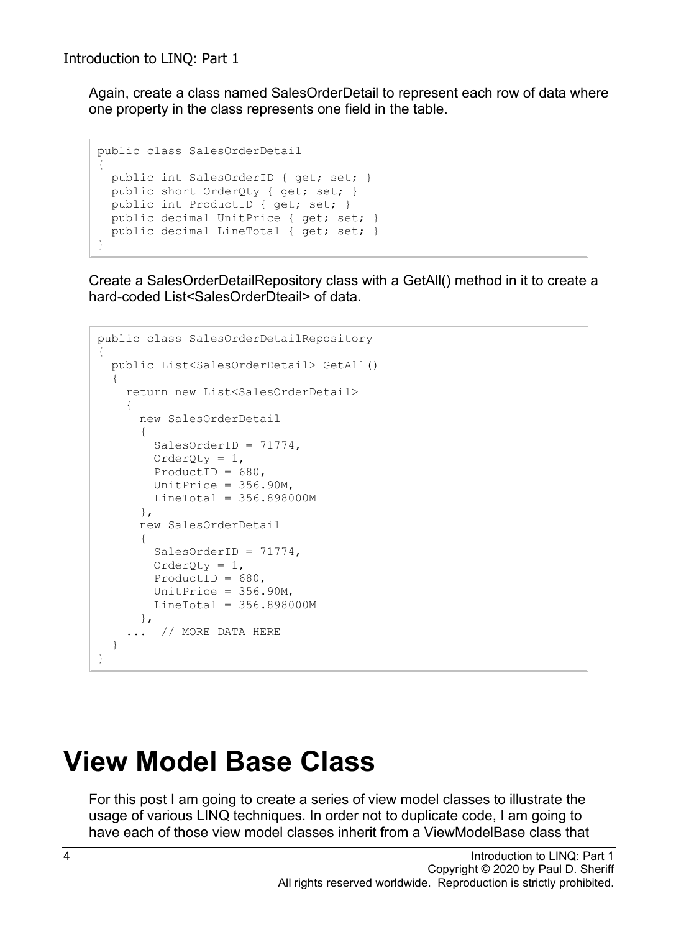Again, create a class named SalesOrderDetail to represent each row of data where one property in the class represents one field in the table.

```
public class SalesOrderDetail
{
  public int SalesOrderID { get; set; }
 public short OrderQty { get; set; }
  public int ProductID { get; set; }
 public decimal UnitPrice { get; set; }
  public decimal LineTotal { get; set; }
}
```
Create a SalesOrderDetailRepository class with a GetAll() method in it to create a hard-coded List<SalesOrderDteail> of data.

```
public class SalesOrderDetailRepository
{
   public List<SalesOrderDetail> GetAll()
   {
     return new List<SalesOrderDetail>
     {
       new SalesOrderDetail
       {
        SalesOrderID = 71774.
        OrderQty = 1,
        ProductID = 680,
        UnitPrice = 356.90M,
        Linearotal = 356.898000M },
       new SalesOrderDetail
 {
        SalesOrderID = 71774,
        OrderQty = 1,ProductID = 680,
        UnitPrice = 356.90M,
         LineTotal = 356.898000M
      },
     ... // MORE DATA HERE
   }
}
```
### **View Model Base Class**

For this post I am going to create a series of view model classes to illustrate the usage of various LINQ techniques. In order not to duplicate code, I am going to have each of those view model classes inherit from a ViewModelBase class that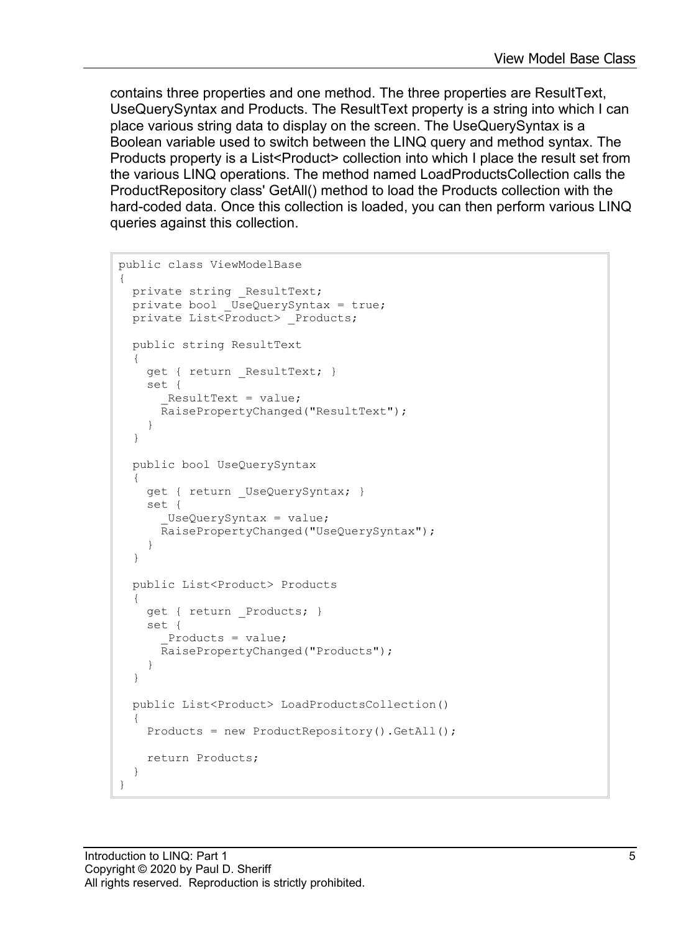contains three properties and one method. The three properties are ResultText, UseQuerySyntax and Products. The ResultText property is a string into which I can place various string data to display on the screen. The UseQuerySyntax is a Boolean variable used to switch between the LINQ query and method syntax. The Products property is a List<Product> collection into which I place the result set from the various LINQ operations. The method named LoadProductsCollection calls the ProductRepository class' GetAll() method to load the Products collection with the hard-coded data. Once this collection is loaded, you can then perform various LINQ queries against this collection.

```
public class ViewModelBase
{
 private string ResultText;
 private bool UseQuerySyntax = true;
 private List<Product> Products;
  public string ResultText
 {
    get { return ResultText; }
     set {
       ResultText = value; RaisePropertyChanged("ResultText");
     }
   }
   public bool UseQuerySyntax
   {
     get { return _UseQuerySyntax; }
     set {
      UseQuerySyntax = value; RaisePropertyChanged("UseQuerySyntax");
     }
   }
  public List<Product> Products
   {
    get { return Products; }
     set {
       Products = value;
       RaisePropertyChanged("Products");
     }
   }
  public List<Product> LoadProductsCollection()
   {
     Products = new ProductRepository().GetAll();
     return Products;
   }
}
```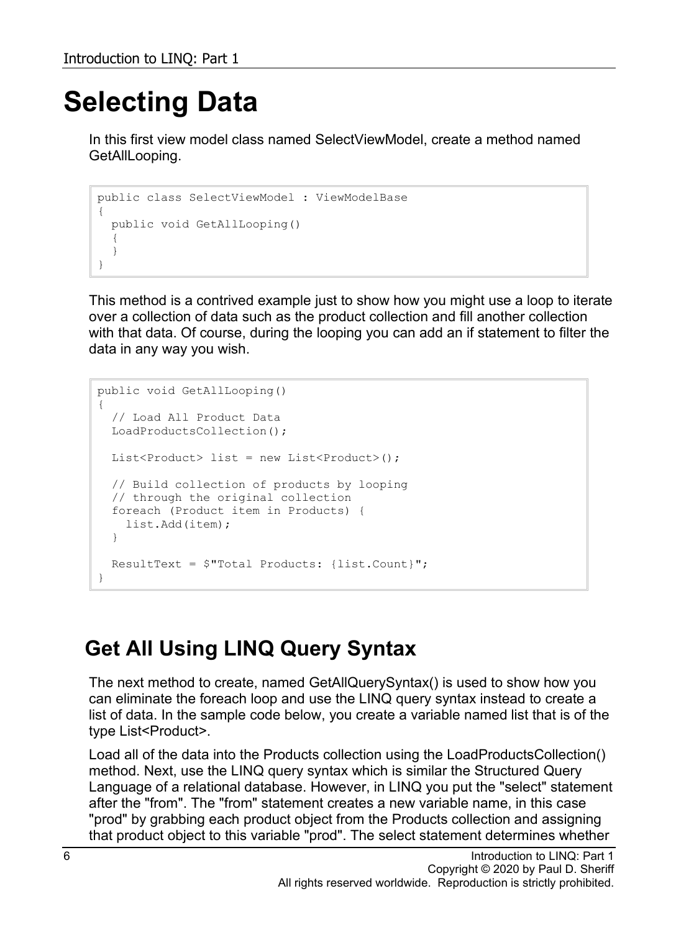## **Selecting Data**

In this first view model class named SelectViewModel, create a method named GetAllLooping.

```
public class SelectViewModel : ViewModelBase
{
   public void GetAllLooping()
   {
   }
}
```
This method is a contrived example just to show how you might use a loop to iterate over a collection of data such as the product collection and fill another collection with that data. Of course, during the looping you can add an if statement to filter the data in any way you wish.

```
public void GetAllLooping()
{
   // Load All Product Data
  LoadProductsCollection();
 List<Product> list = new List<Product>();
  // Build collection of products by looping 
   // through the original collection
   foreach (Product item in Products) {
    list.Add(item);
   }
   ResultText = $"Total Products: {list.Count}";
}
```
#### **Get All Using LINQ Query Syntax**

The next method to create, named GetAllQuerySyntax() is used to show how you can eliminate the foreach loop and use the LINQ query syntax instead to create a list of data. In the sample code below, you create a variable named list that is of the type List<Product>.

Load all of the data into the Products collection using the LoadProductsCollection() method. Next, use the LINQ query syntax which is similar the Structured Query Language of a relational database. However, in LINQ you put the "select" statement after the "from". The "from" statement creates a new variable name, in this case "prod" by grabbing each product object from the Products collection and assigning that product object to this variable "prod". The select statement determines whether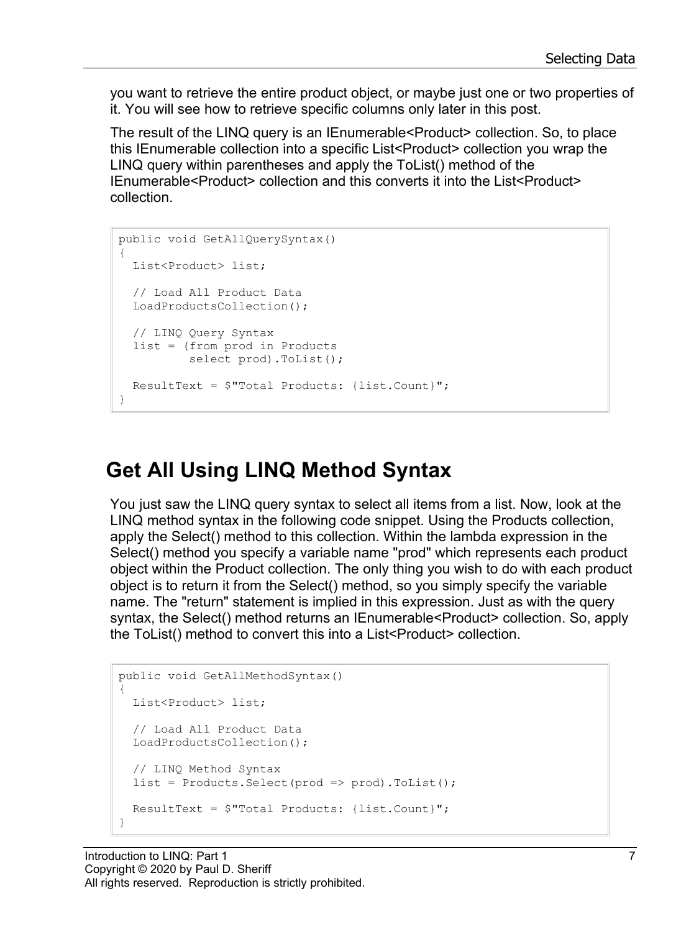you want to retrieve the entire product object, or maybe just one or two properties of it. You will see how to retrieve specific columns only later in this post.

The result of the LINQ query is an IEnumerable<Product> collection. So, to place this IEnumerable collection into a specific List<Product> collection you wrap the LINQ query within parentheses and apply the ToList() method of the IEnumerable<Product> collection and this converts it into the List<Product> collection.

```
public void GetAllQuerySyntax()
{
  List<Product> list;
   // Load All Product Data
  LoadProductsCollection();
   // LINQ Query Syntax
   list = (from prod in Products
           select prod).ToList();
  ResultText = $"Total Products: {list.Count}";
}
```
#### **Get All Using LINQ Method Syntax**

You just saw the LINQ query syntax to select all items from a list. Now, look at the LINQ method syntax in the following code snippet. Using the Products collection, apply the Select() method to this collection. Within the lambda expression in the Select() method you specify a variable name "prod" which represents each product object within the Product collection. The only thing you wish to do with each product object is to return it from the Select() method, so you simply specify the variable name. The "return" statement is implied in this expression. Just as with the query syntax, the Select() method returns an IEnumerable<Product> collection. So, apply the ToList() method to convert this into a List<Product> collection.

```
public void GetAllMethodSyntax()
{
  List<Product> list;
  // Load All Product Data
  LoadProductsCollection();
   // LINQ Method Syntax
  list = Products.Select(prod => prod).ToList();
  ResultText = $"Total Products: {list.Count}";
}
```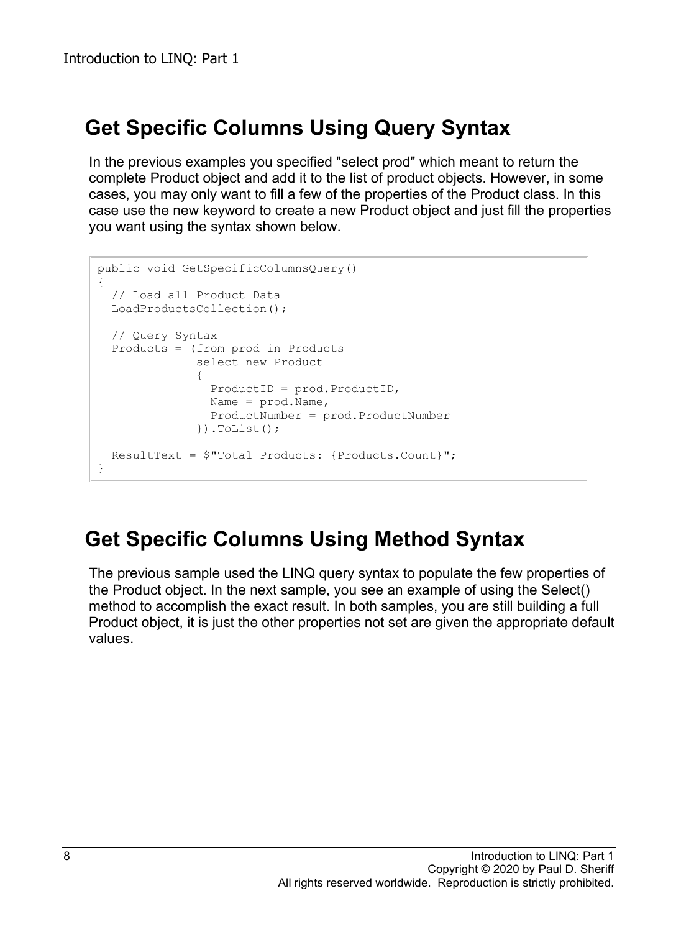#### **Get Specific Columns Using Query Syntax**

In the previous examples you specified "select prod" which meant to return the complete Product object and add it to the list of product objects. However, in some cases, you may only want to fill a few of the properties of the Product class. In this case use the new keyword to create a new Product object and just fill the properties you want using the syntax shown below.

```
public void GetSpecificColumnsQuery()
{
   // Load all Product Data
  LoadProductsCollection();
   // Query Syntax
   Products = (from prod in Products
              select new Product
{
                ProductID = prod.ProductID,
               Name = prod.Name,
                ProductNumber = prod.ProductNumber
              ).ToList();
  ResultText = $"Total Products: {Products.Count}";
}
```
#### **Get Specific Columns Using Method Syntax**

The previous sample used the LINQ query syntax to populate the few properties of the Product object. In the next sample, you see an example of using the Select() method to accomplish the exact result. In both samples, you are still building a full Product object, it is just the other properties not set are given the appropriate default values.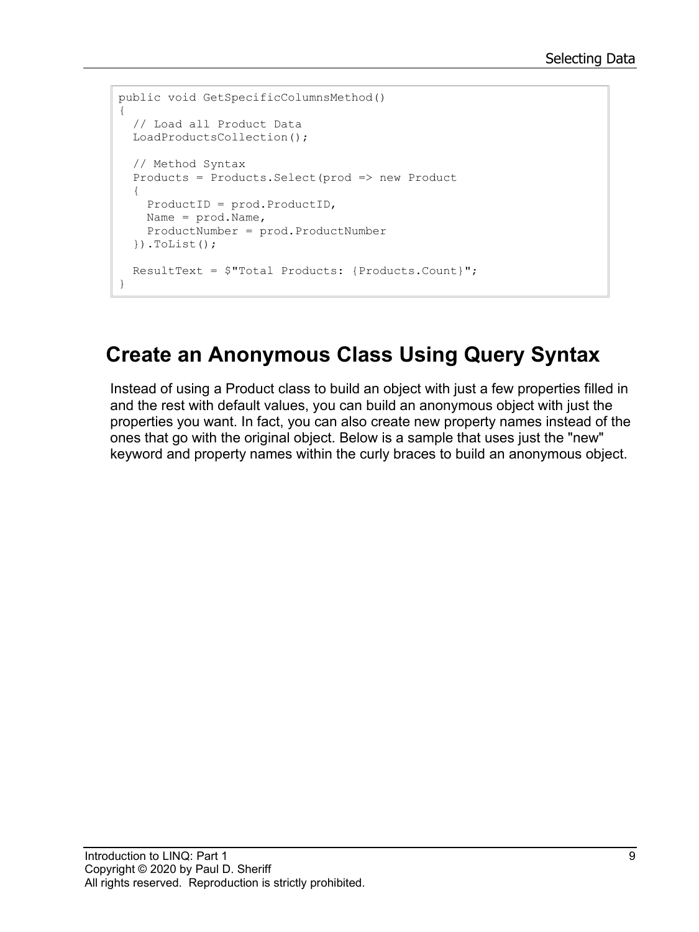```
public void GetSpecificColumnsMethod()
{
  // Load all Product Data
  LoadProductsCollection();
  // Method Syntax
   Products = Products.Select(prod => new Product
\{ ProductID = prod.ProductID,
    Name = prod.Name,
    ProductNumber = prod.ProductNumber
   }).ToList();
  ResultText = $"Total Products: {Products.Count}";
}
```
#### **Create an Anonymous Class Using Query Syntax**

Instead of using a Product class to build an object with just a few properties filled in and the rest with default values, you can build an anonymous object with just the properties you want. In fact, you can also create new property names instead of the ones that go with the original object. Below is a sample that uses just the "new" keyword and property names within the curly braces to build an anonymous object.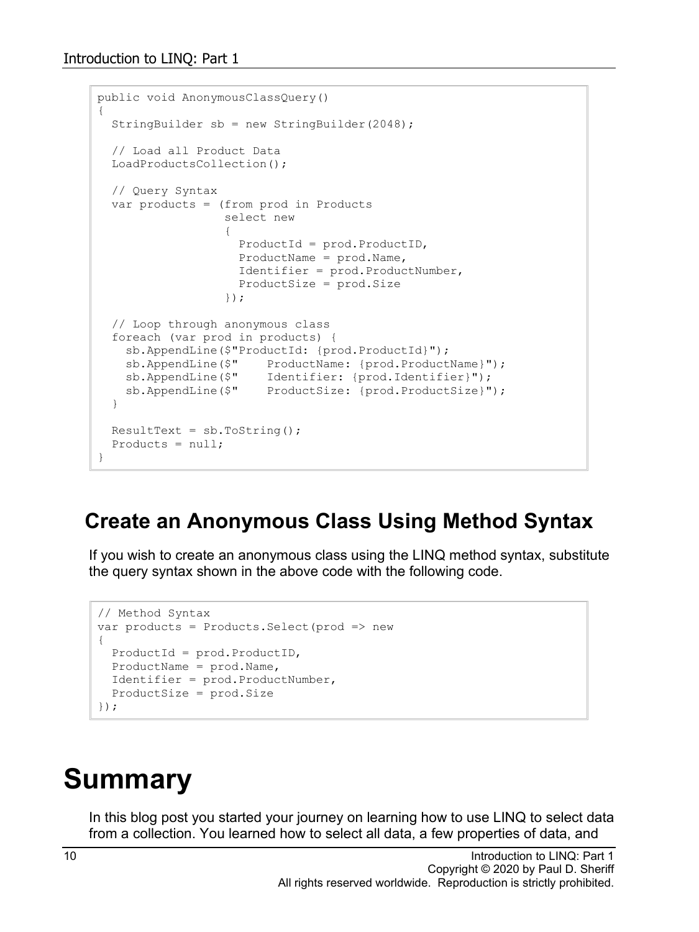```
public void AnonymousClassQuery()
{
   StringBuilder sb = new StringBuilder(2048);
   // Load all Product Data
   LoadProductsCollection();
   // Query Syntax
   var products = (from prod in Products
                   select new
                  {
                     ProductId = prod.ProductID,
                    ProductName = prod.Name,
                    Identifier = prod.ProductNumber,
                    ProductSize = prod.Size
                   });
   // Loop through anonymous class
   foreach (var prod in products) {
     sb.AppendLine($"ProductId: {prod.ProductId}");
    sb.AppendLine($" ProductName: {prod.ProductName}");
 sb.AppendLine($" Identifier: {prod.Identifier}");
 sb.AppendLine($" ProductSize: {prod.ProductSize}");
   }
 ResultText = sb.ToString();
 Products = null;}
```
#### **Create an Anonymous Class Using Method Syntax**

If you wish to create an anonymous class using the LINQ method syntax, substitute the query syntax shown in the above code with the following code.

```
// Method Syntax
var products = Products. Select (prod => new
{
  ProductId = prod.ProductID,
  ProductName = prod.Name,
   Identifier = prod.ProductNumber,
   ProductSize = prod.Size
});
```
### **Summary**

In this blog post you started your journey on learning how to use LINQ to select data from a collection. You learned how to select all data, a few properties of data, and